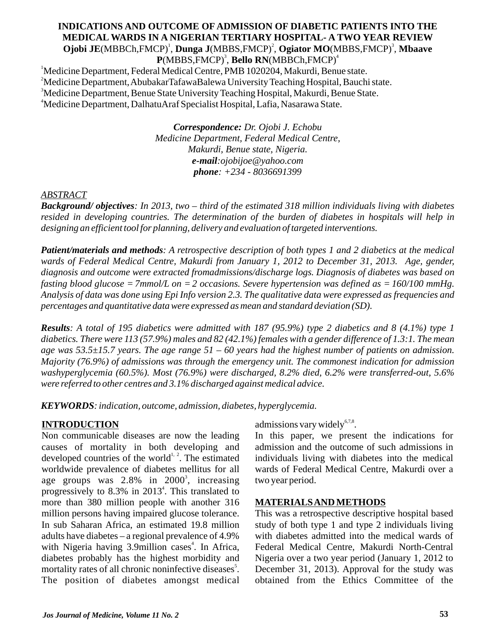# **INDICATIONS AND OUTCOME OF ADMISSION OF DIABETIC PATIENTS INTO THE MEDICAL WARDS IN A NIGERIAN TERTIARY HOSPITAL- A TWO YEAR REVIEW** <sup>1</sup> <sup>2</sup> <sup>3</sup> **Ojobi JE**(MBBCh,FMCP) , **Dunga J**(MBBS,FMCP) , **Ogiator MO**(MBBS,FMCP) , **Mbaave**   $\mathbf{P}(\text{MBBS}, \text{FMCP})^3$ , **Bello RN**(MBBCh,FMCP)<sup>4</sup>

<sup>1</sup>Medicine Department, Federal Medical Centre, PMB 1020204, Makurdi, Benue state. <sup>2</sup>Medicine Department, AbubakarTafawaBalewa University Teaching Hospital, Bauchi state. <sup>3</sup>Medicine Department, Benue State University Teaching Hospital, Makurdi, Benue State. <sup>4</sup>Medicine Department, DalhatuAraf Specialist Hospital, Lafia, Nasarawa State.

> *Correspondence: Dr. Ojobi J. Echobu Medicine Department, Federal Medical Centre, Makurdi, Benue state, Nigeria. e-mail:ojobijoe@yahoo.com phone: +234 - 8036691399*

# *ABSTRACT*

*Background/ objectives: In 2013, two – third of the estimated 318 million individuals living with diabetes resided in developing countries. The determination of the burden of diabetes in hospitals will help in designing an efficient tool for planning, delivery and evaluation of targeted interventions.* 

*Patient/materials and methods: A retrospective description of both types 1 and 2 diabetics at the medical wards of Federal Medical Centre, Makurdi from January 1, 2012 to December 31, 2013. Age, gender, diagnosis and outcome were extracted fromadmissions/discharge logs. Diagnosis of diabetes was based on fasting blood glucose =7mmol/L on =2 occasions. Severe hypertension was defined as =160/100 mmHg. Analysis of data was done using Epi Info version 2.3. The qualitative data were expressed as frequencies and percentages and quantitative data were expressed as mean and standard deviation (SD).*

*Results: A total of 195 diabetics were admitted with 187 (95.9%) type 2 diabetics and 8 (4.1%) type 1 diabetics. There were 113 (57.9%) males and 82 (42.1%) females with a gender difference of 1.3:1. The mean age was 53.5±15.7 years. The age range 51 – 60 years had the highest number of patients on admission. Majority (76.9%) of admissions was through the emergency unit. The commonest indication for admission washyperglycemia (60.5%). Most (76.9%) were discharged, 8.2% died, 6.2% were transferred-out, 5.6% were referred to other centres and 3.1% discharged against medical advice.* 

*KEYWORDS: indication, outcome, admission, diabetes, hyperglycemia.*

# **INTRODUCTION**

Non communicable diseases are now the leading causes of mortality in both developing and developed countries of the world<sup> $1, 2$ </sup>. The estimated worldwide prevalence of diabetes mellitus for all age groups was  $2.8\%$  in  $2000^3$ , increasing progressively to 8.3% in 2013<sup>4</sup>. This translated to more than 380 million people with another 316 million persons having impaired glucose tolerance. In sub Saharan Africa, an estimated 19.8 million adults have diabetes – a regional prevalence of 4.9% with Nigeria having 3.9 million cases<sup>4</sup>. In Africa, diabetes probably has the highest morbidity and mortality rates of all chronic noninfective diseases<sup>5</sup>. The position of diabetes amongst medical admissions vary widely $67,8$ .

In this paper, we present the indications for admission and the outcome of such admissions in individuals living with diabetes into the medical wards of Federal Medical Centre, Makurdi over a two year period.

# **MATERIALS AND METHODS**

This was a retrospective descriptive hospital based study of both type 1 and type 2 individuals living with diabetes admitted into the medical wards of Federal Medical Centre, Makurdi North-Central Nigeria over a two year period (January 1, 2012 to December 31, 2013). Approval for the study was obtained from the Ethics Committee of the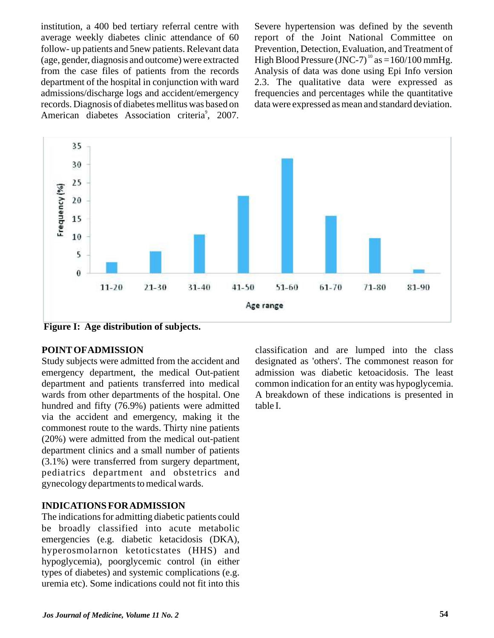institution, a 400 bed tertiary referral centre with average weekly diabetes clinic attendance of 60 follow- up patients and 5new patients. Relevant data (age, gender, diagnosis and outcome) were extracted from the case files of patients from the records department of the hospital in conjunction with ward admissions/discharge logs and accident/emergency records. Diagnosis of diabetes mellitus was based on American diabetes Association criteria<sup>9</sup>, 2007.

Severe hypertension was defined by the seventh report of the Joint National Committee on Prevention, Detection, Evaluation, and Treatment of High Blood Pressure (JNC-7)<sup>10</sup> as  $=160/100$  mmHg. Analysis of data was done using Epi Info version 2.3. The qualitative data were expressed as frequencies and percentages while the quantitative data were expressed as mean and standard deviation.



**Figure I: Age distribution of subjects.**

#### **POINTOFADMISSION**

Study subjects were admitted from the accident and emergency department, the medical Out-patient department and patients transferred into medical wards from other departments of the hospital. One hundred and fifty (76.9%) patients were admitted via the accident and emergency, making it the commonest route to the wards. Thirty nine patients (20%) were admitted from the medical out-patient department clinics and a small number of patients (3.1%) were transferred from surgery department, pediatrics department and obstetrics and gynecology departments to medical wards.

#### **INDICATIONS FOR ADMISSION**

The indications for admitting diabetic patients could be broadly classified into acute metabolic emergencies (e.g. diabetic ketacidosis (DKA), hyperosmolarnon ketoticstates (HHS) and hypoglycemia), poorglycemic control (in either types of diabetes) and systemic complications (e.g. uremia etc). Some indications could not fit into this

classification and are lumped into the class designated as 'others'. The commonest reason for admission was diabetic ketoacidosis. The least common indication for an entity was hypoglycemia. A breakdown of these indications is presented in table I.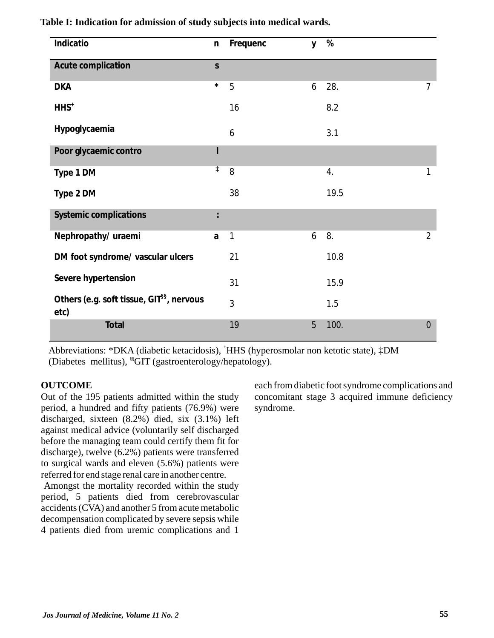| Indicatio                                                     | $\mathsf{n}$ | Frequenc | y | %    |                |
|---------------------------------------------------------------|--------------|----------|---|------|----------------|
| Acute complication                                            | $\mathsf{S}$ |          |   |      |                |
| <b>DKA</b>                                                    | $\star$      | 5        | 6 | 28.  | $\overline{7}$ |
| $HHS+$                                                        |              | 16       |   | 8.2  |                |
| Hypoglycaemia                                                 |              | 6        |   | 3.1  |                |
| Poor glycaemic contro                                         | ı            |          |   |      |                |
| Type 1 DM                                                     | $\ddagger$   | 8        |   | 4.   | 1              |
| Type 2 DM                                                     |              | 38       |   | 19.5 |                |
| <b>Systemic complications</b>                                 | $\vdots$     |          |   |      |                |
| Nephropathy/ uraemi                                           | a            | 1        | 6 | 8.   | $\overline{2}$ |
| DM foot syndrome/ vascular ulcers                             |              | 21       |   | 10.8 |                |
| Severe hypertension                                           |              | 31       |   | 15.9 |                |
| Others (e.g. soft tissue, GIT <sup>§§</sup> , nervous<br>etc) |              | 3        |   | 1.5  |                |
| Total                                                         |              | 19       | 5 | 100. | $\overline{0}$ |

## **Table I: Indication for admission of study subjects into medical wards.**

Abbreviations: \*DKA (diabetic ketacidosis), †HHS (hyperosmolar non ketotic state), ‡DM (Diabetes mellitus), <sup>\$\$</sup>GIT (gastroenterology/hepatology).

#### **OUTCOME**

Out of the 195 patients admitted within the study period, a hundred and fifty patients (76.9%) were discharged, sixteen (8.2%) died, six (3.1%) left against medical advice (voluntarily self discharged before the managing team could certify them fit for discharge), twelve (6.2%) patients were transferred to surgical wards and eleven (5.6%) patients were referred for end stage renal care in another centre.

Amongst the mortality recorded within the study period, 5 patients died from cerebrovascular accidents (CVA) and another 5 from acute metabolic decompensation complicated by severe sepsis while 4 patients died from uremic complications and 1

each from diabetic foot syndrome complications and concomitant stage 3 acquired immune deficiency syndrome.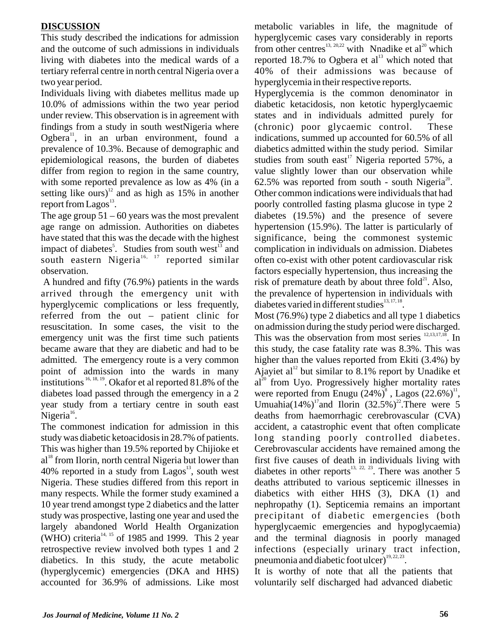## **DISCUSSION**

This study described the indications for admission and the outcome of such admissions in individuals living with diabetes into the medical wards of a tertiary referral centre in north central Nigeria over a two year period.

Individuals living with diabetes mellitus made up 10.0% of admissions within the two year period under review. This observation is in agreement with findings from a study in south westNigeria where Ogbera<sup>11</sup>, in an urban environment, found a prevalence of 10.3%. Because of demographic and epidemiological reasons, the burden of diabetes differ from region to region in the same country, with some reported prevalence as low as 4% (in a setting like ours)<sup>12</sup> and as high as 15% in another report from Lagos $^{13}$ .

The age group  $51 - 60$  years was the most prevalent age range on admission. Authorities on diabetes have stated that this was the decade with the highest impact of diabetes<sup>5</sup>. Studies from south west<sup>13</sup> and south eastern Nigeria<sup>16, 17</sup> reported similar observation.

A hundred and fifty (76.9%) patients in the wards arrived through the emergency unit with hyperglycemic complications or less frequently, referred from the out – patient clinic for resuscitation. In some cases, the visit to the emergency unit was the first time such patients became aware that they are diabetic and had to be admitted. The emergency route is a very common point of admission into the wards in many institutions  $16, 18, 19$ . Okafor et al reported 81.8% of the diabetes load passed through the emergency in a 2 year study from a tertiary centre in south east Nigeria $^{16}$ .

The commonest indication for admission in this study was diabetic ketoacidosis in 28.7% of patients. This was higher than 19.5% reported by Chijioke et al<sup>18</sup> from Ilorin, north central Nigeria but lower than 40% reported in a study from Lagos<sup>13</sup>, south west Nigeria. These studies differed from this report in many respects. While the former study examined a 10 year trend amongst type 2 diabetics and the latter study was prospective, lasting one year and used the largely abandoned World Health Organization  $(WHO)$  criteria<sup>14, 15</sup> of 1985 and 1999. This 2 year retrospective review involved both types 1 and 2 diabetics. In this study, the acute metabolic (hyperglycemic) emergencies (DKA and HHS) accounted for 36.9% of admissions. Like most

metabolic variables in life, the magnitude of hyperglycemic cases vary considerably in reports from other centres<sup>13, 20,22</sup> with Nnadike et al<sup>20</sup> which reported 18.7% to Ogbera et  $al<sup>13</sup>$  which noted that 40% of their admissions was because of hyperglycemia in their respective reports.

Hyperglycemia is the common denominator in diabetic ketacidosis, non ketotic hyperglycaemic states and in individuals admitted purely for (chronic) poor glycaemic control. These indications, summed up accounted for 60.5% of all diabetics admitted within the study period. Similar studies from south east<sup>17</sup> Nigeria reported 57%, a value slightly lower than our observation while 62.5% was reported from south - south Nigeria<sup>20</sup>. Other common indications were individuals that had poorly controlled fasting plasma glucose in type 2 diabetes (19.5%) and the presence of severe hypertension (15.9%). The latter is particularly of significance, being the commonest systemic complication in individuals on admission. Diabetes often co-exist with other potent cardiovascular risk factors especially hypertension, thus increasing the risk of premature death by about three fold $^{21}$ . Also, the prevalence of hypertension in individuals with diabetes varied in different studies $^{13, 17, 18}$ .

Most (76.9%) type 2 diabetics and all type 1 diabetics on admission during the study period were discharged. This was the observation from most series  $\frac{12,13,17,18}{2}$ . In this study, the case fatality rate was 8.3%. This was higher than the values reported from Ekiti (3.4%) by Ajayiet al<sup>12</sup> but similar to 8.1% report by Unadike et  $al^{20}$  from Uyo. Progressively higher mortality rates were reported from Enugu  $(24\%)^8$ , Lagos  $(22.6\%)^{11}$ , Umuahia(14%)<sup>17</sup> and Ilorin (32.5%)<sup>22</sup>. There were 5 deaths from haemorrhagic cerebrovascular (CVA) accident, a catastrophic event that often complicate long standing poorly controlled diabetes. Cerebrovascular accidents have remained among the first five causes of death in individuals living with diabetes in other reports<sup>13, 22, 23</sup>. There was another 5 deaths attributed to various septicemic illnesses in diabetics with either HHS (3), DKA (1) and nephropathy (1). Septicemia remains an important precipitant of diabetic emergencies (both hyperglycaemic emergencies and hypoglycaemia) and the terminal diagnosis in poorly managed infections (especially urinary tract infection, pneumonia and diabetic foot ulcer) $19, 22, 23$ .

It is worthy of note that all the patients that voluntarily self discharged had advanced diabetic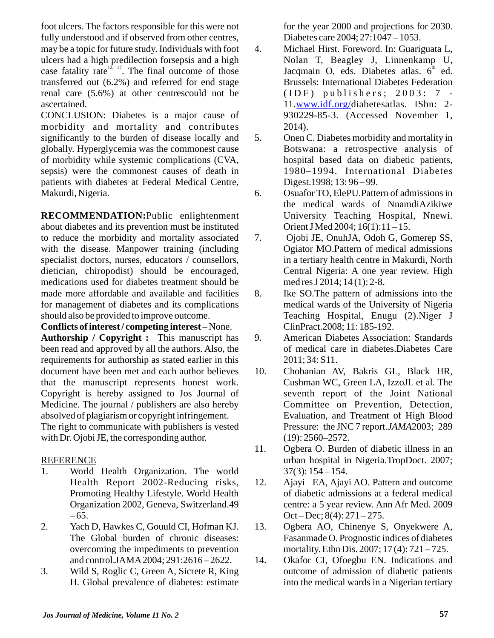foot ulcers. The factors responsible for this were not fully understood and if observed from other centres, may be a topic for future study. Individuals with foot ulcers had a high predilection forsepsis and a high case fatality rate  $13, 17$ . The final outcome of those transferred out (6.2%) and referred for end stage renal care (5.6%) at other centrescould not be ascertained.

CONCLUSION: Diabetes is a major cause of morbidity and mortality and contributes significantly to the burden of disease locally and globally. Hyperglycemia was the commonest cause of morbidity while systemic complications (CVA, sepsis) were the commonest causes of death in patients with diabetes at Federal Medical Centre, Makurdi, Nigeria.

**RECOMMENDATION:**Public enlightenment about diabetes and its prevention must be instituted to reduce the morbidity and mortality associated with the disease. Manpower training (including specialist doctors, nurses, educators / counsellors, dietician, chiropodist) should be encouraged, medications used for diabetes treatment should be made more affordable and available and facilities for management of diabetes and its complications should also be provided to improve outcome.

**Conflicts of interest / competing interest** – None. **Authorship / Copyright :** This manuscript has been read and approved by all the authors. Also, the requirements for authorship as stated earlier in this document have been met and each author believes that the manuscript represents honest work. Copyright is hereby assigned to Jos Journal of Medicine. The journal / publishers are also hereby absolved of plagiarism or copyright infringement. The right to communicate with publishers is vested with Dr. Ojobi JE, the corresponding author.

# REFERENCE

- 1. World Health Organization. The world Health Report 2002-Reducing risks, Promoting Healthy Lifestyle. World Health Organization 2002, Geneva, Switzerland.49  $-65.$
- 2. Yach D, Hawkes C, Gouuld CI, Hofman KJ. The Global burden of chronic diseases: overcoming the impediments to prevention and control.JAMA2004; 291:2616 – 2622.
- 3. Wild S, Roglic C, Green A, Sicrete R, King H. Global prevalence of diabetes: estimate

for the year 2000 and projections for 2030. Diabetes care 2004; 27:1047 – 1053.

- 4. Michael Hirst. Foreword. In: Guariguata L, Nolan T, Beagley J, Linnenkamp U, Jacqmain O, eds. Diabetes atlas.  $6<sup>th</sup>$  ed. Brussels: International Diabetes Federation  $(ID F)$  publishers;  $2003: 7$  -11.www.idf.org/diabetesatlas. ISbn: 2-930229-85-3. (Accessed November 1, 2014).
- 5. Onen C. Diabetes morbidity and mortality in Botswana: a retrospective analysis of hospital based data on diabetic patients, 1980–1994. International Diabetes Digest.1998; 13: 96 – 99.
- 6. Osuafor TO, ElePU.Pattern of admissions in the medical wards of NnamdiAzikiwe University Teaching Hospital, Nnewi. Orient J Med 2004; 16(1):11 – 15.
- 7. Ojobi JE, OnuhJA, Odoh G, Gomerep SS, Ogiator MO.Pattern of medical admissions in a tertiary health centre in Makurdi, North Central Nigeria: A one year review. High med res J 2014; 14 (1): 2-8.
- 8. Ike SO.The pattern of admissions into the medical wards of the University of Nigeria Teaching Hospital, Enugu (2).Niger J ClinPract.2008; 11: 185-192.
- 9. American Diabetes Association: Standards of medical care in diabetes.Diabetes Care 2011; 34: S11.
- 10. Chobanian AV, Bakris GL, Black HR, Cushman WC, Green LA, IzzoJL et al. The seventh report of the Joint National Committee on Prevention, Detection, Evaluation, and Treatment of High Blood Pressure: the JNC 7 report.*JAMA*2003; 289 (19): 2560–2572.
- 11. Ogbera O. Burden of diabetic illness in an urban hospital in Nigeria.TropDoct. 2007;  $37(3): 154 - 154.$
- 12. Ajayi EA, Ajayi AO. Pattern and outcome of diabetic admissions at a federal medical centre: a 5 year review. Ann Afr Med. 2009  $Oct - Dec$ ;  $8(4)$ :  $271 - 275$ .
- 13. Ogbera AO, Chinenye S, Onyekwere A, Fasanmade O. Prognostic indices of diabetes mortality. Ethn Dis. 2007; 17 (4): 721 – 725.
- 14. Okafor CI, Ofoegbu EN. Indications and outcome of admission of diabetic patients into the medical wards in a Nigerian tertiary